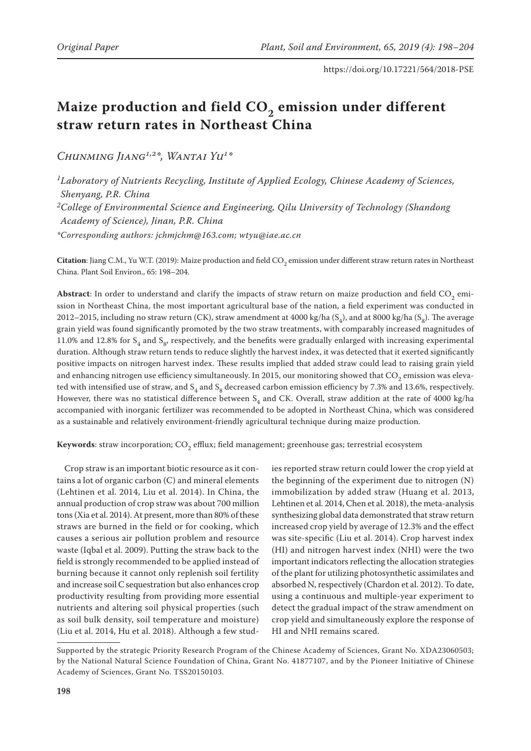# Maize production and field CO<sub>2</sub> emission under different **straw return rates in Northeast China**

*Chunming Jiang1,2\*, Wantai Yu1\**

*1Laboratory of Nutrients Recycling, Institute of Applied Ecology, Chinese Academy of Sciences, Shenyang, P.R. China 2College of Environmental Science and Engineering, Qilu University of Technology (Shandong Academy of Science), Jinan, P.R. China \*Corresponding authors: jchmjchm@163.com; wtyu@iae.ac.cn*

 $C$ itation: Jiang C.M., Yu W.T. (2019): Maize production and field CO<sub>2</sub> emission under different straw return rates in Northeast China. Plant Soil Environ., 65: 198–204.

Abstract: In order to understand and clarify the impacts of straw return on maize production and field CO<sub>2</sub> emission in Northeast China, the most important agricultural base of the nation, a field experiment was conducted in 2012–2015, including no straw return (CK), straw amendment at 4000 kg/ha  $(S_4)$ , and at 8000 kg/ha  $(S_6)$ . The average grain yield was found significantly promoted by the two straw treatments, with comparably increased magnitudes of 11.0% and 12.8% for  $S_4$  and  $S_8$ , respectively, and the benefits were gradually enlarged with increasing experimental duration. Although straw return tends to reduce slightly the harvest index, it was detected that it exerted significantly positive impacts on nitrogen harvest index. These results implied that added straw could lead to raising grain yield and enhancing nitrogen use efficiency simultaneously. In 2015, our monitoring showed that  $CO<sub>2</sub>$  emission was elevated with intensified use of straw, and  $S_4$  and  $S_8$  decreased carbon emission efficiency by 7.3% and 13.6%, respectively. However, there was no statistical difference between  $S_4$  and CK. Overall, straw addition at the rate of 4000 kg/ha accompanied with inorganic fertilizer was recommended to be adopted in Northeast China, which was considered as a sustainable and relatively environment-friendly agricultural technique during maize production.

Keywords: straw incorporation; CO<sub>2</sub> efflux; field management; greenhouse gas; terrestrial ecosystem

Crop straw is an important biotic resource as it contains a lot of organic carbon (C) and mineral elements (Lehtinen et al. 2014, Liu et al. 2014). In China, the annual production of crop straw was about 700 million tons (Xia et al. 2014). At present, more than 80% of these straws are burned in the field or for cooking, which causes a serious air pollution problem and resource waste (Iqbal et al. 2009). Putting the straw back to the field is strongly recommended to be applied instead of burning because it cannot only replenish soil fertility and increase soil C sequestration but also enhances crop productivity resulting from providing more essential nutrients and altering soil physical properties (such as soil bulk density, soil temperature and moisture) (Liu et al. 2014, Hu et al. 2018). Although a few studies reported straw return could lower the crop yield at the beginning of the experiment due to nitrogen (N) immobilization by added straw (Huang et al. 2013, Lehtinen et al. 2014, Chen et al. 2018), the meta-analysis synthesizing global data demonstrated that straw return increased crop yield by average of 12.3% and the effect was site-specific (Liu et al. 2014). Crop harvest index (HI) and nitrogen harvest index (NHI) were the two important indicators reflecting the allocation strategies of the plant for utilizing photosynthetic assimilates and absorbed N, respectively (Chardon et al. 2012). To date, using a continuous and multiple-year experiment to detect the gradual impact of the straw amendment on crop yield and simultaneously explore the response of HI and NHI remains scared.

Supported by the strategic Priority Research Program of the Chinese Academy of Sciences, Grant No. XDA23060503; by the National Natural Science Foundation of China, Grant No. 41877107, and by the Pioneer Initiative of Chinese Academy of Sciences, Grant No. TSS20150103.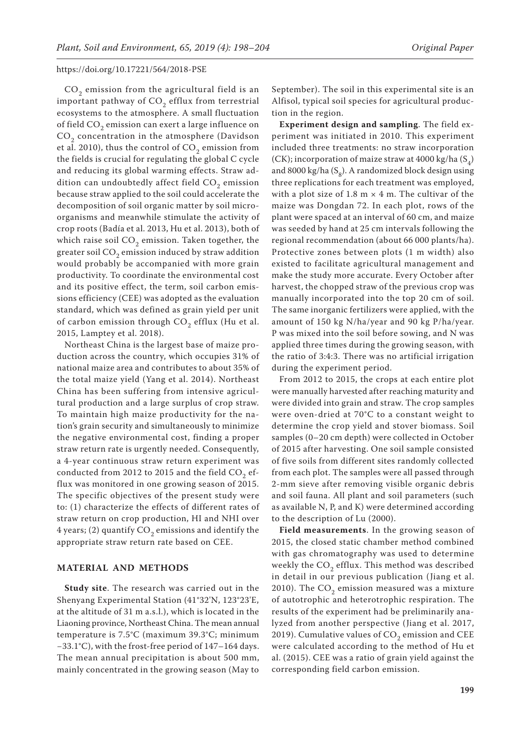$CO<sub>2</sub>$  emission from the agricultural field is an important pathway of  $CO<sub>2</sub>$  efflux from terrestrial ecosystems to the atmosphere. A small fluctuation of field  $CO<sub>2</sub>$  emission can exert a large influence on  $CO<sub>2</sub>$  concentration in the atmosphere (Davidson et al. 2010), thus the control of  $CO<sub>2</sub>$  emission from the fields is crucial for regulating the global C cycle and reducing its global warming effects. Straw addition can undoubtedly affect field  $CO<sub>2</sub>$  emission because straw applied to the soil could accelerate the decomposition of soil organic matter by soil microorganisms and meanwhile stimulate the activity of crop roots (Badía et al. 2013, Hu et al. 2013), both of which raise soil  $CO<sub>2</sub>$  emission. Taken together, the greater soil  $CO<sub>2</sub>$  emission induced by straw addition would probably be accompanied with more grain productivity. To coordinate the environmental cost and its positive effect, the term, soil carbon emissions efficiency (CEE) was adopted as the evaluation standard, which was defined as grain yield per unit of carbon emission through  $CO<sub>2</sub>$  efflux (Hu et al. 2015, Lamptey et al. 2018).

Northeast China is the largest base of maize production across the country, which occupies 31% of national maize area and contributes to about 35% of the total maize yield (Yang et al. 2014). Northeast China has been suffering from intensive agricultural production and a large surplus of crop straw. To maintain high maize productivity for the nation's grain security and simultaneously to minimize the negative environmental cost, finding a proper straw return rate is urgently needed. Consequently, a 4-year continuous straw return experiment was conducted from 2012 to 2015 and the field  $CO<sub>2</sub>$  efflux was monitored in one growing season of 2015. The specific objectives of the present study were to: (1) characterize the effects of different rates of straw return on crop production, HI and NHI over 4 years; (2) quantify  $CO<sub>2</sub>$  emissions and identify the appropriate straw return rate based on CEE.

#### **MATERIAL AND METHODS**

**Study site**. The research was carried out in the Shenyang Experimental Station (41°32'N, 123°23'E, at the altitude of 31 m a.s.l.), which is located in the Liaoning province, Northeast China. The mean annual temperature is 7.5°C (maximum 39.3°C; minimum −33.1°C), with the frost-free period of 147–164 days. The mean annual precipitation is about 500 mm, mainly concentrated in the growing season (May to September). The soil in this experimental site is an Alfisol, typical soil species for agricultural production in the region.

**Experiment design and sampling**. The field experiment was initiated in 2010. This experiment included three treatments: no straw incorporation (CK); incorporation of maize straw at 4000 kg/ha  $(S_4)$ and 8000 kg/ha  $(S_8)$ . A randomized block design using three replications for each treatment was employed, with a plot size of 1.8 m  $\times$  4 m. The cultivar of the maize was Dongdan 72. In each plot, rows of the plant were spaced at an interval of 60 cm, and maize was seeded by hand at 25 cm intervals following the regional recommendation (about 66 000 plants/ha). Protective zones between plots (1 m width) also existed to facilitate agricultural management and make the study more accurate. Every October after harvest, the chopped straw of the previous crop was manually incorporated into the top 20 cm of soil. The same inorganic fertilizers were applied, with the amount of 150 kg N/ha/year and 90 kg P/ha/year. P was mixed into the soil before sowing, and N was applied three times during the growing season, with the ratio of 3:4:3. There was no artificial irrigation during the experiment period.

From 2012 to 2015, the crops at each entire plot were manually harvested after reaching maturity and were divided into grain and straw. The crop samples were oven-dried at 70°C to a constant weight to determine the crop yield and stover biomass. Soil samples (0–20 cm depth) were collected in October of 2015 after harvesting. One soil sample consisted of five soils from different sites randomly collected from each plot. The samples were all passed through 2-mm sieve after removing visible organic debris and soil fauna. All plant and soil parameters (such as available N, P, and K) were determined according to the description of Lu (2000).

**Field measurements**. In the growing season of 2015, the closed static chamber method combined with gas chromatography was used to determine weekly the  $CO<sub>2</sub>$  efflux. This method was described in detail in our previous publication (Jiang et al. 2010). The  $CO<sub>2</sub>$  emission measured was a mixture of autotrophic and heterotrophic respiration. The results of the experiment had be preliminarily analyzed from another perspective (Jiang et al. 2017, 2019). Cumulative values of  $CO<sub>2</sub>$  emission and CEE were calculated according to the method of Hu et al. (2015). CEE was a ratio of grain yield against the corresponding field carbon emission.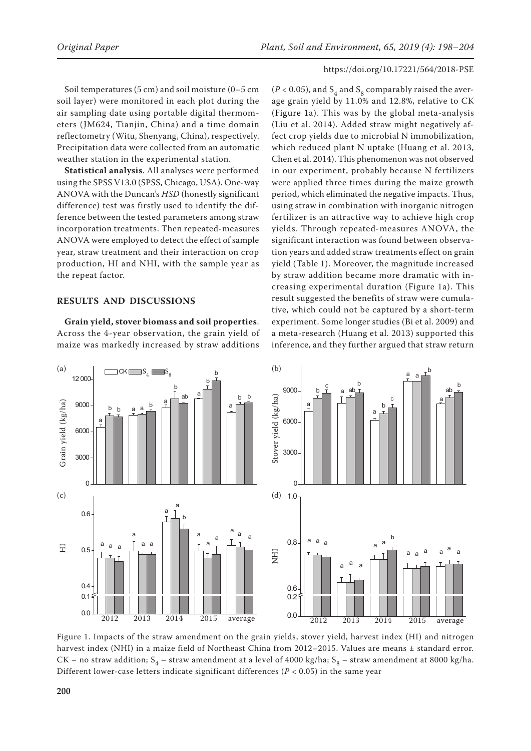Soil temperatures (5 cm) and soil moisture (0–5 cm soil layer) were monitored in each plot during the air sampling date using portable digital thermometers (JM624, Tianjin, China) and a time domain reflectometry (Witu, Shenyang, China), respectively. Precipitation data were collected from an automatic weather station in the experimental station.

**Statistical analysis**. All analyses were performed using the SPSS V13.0 (SPSS, Chicago, USA). One-way ANOVA with the Duncan's *HSD* (honestly significant difference) test was firstly used to identify the difference between the tested parameters among straw incorporation treatments. Then repeated-measures ANOVA were employed to detect the effect of sample year, straw treatment and their interaction on crop production, HI and NHI, with the sample year as the repeat factor.

## **RESULTS AND DISCUSSIONS**

**Grain yield, stover biomass and soil properties**. Across the 4-year observation, the grain yield of maize was markedly increased by straw additions

( $P$  < 0.05), and S<sub>4</sub> and S<sub>8</sub> comparably raised the average grain yield by 11.0% and 12.8%, relative to CK (Figure 1a). This was by the global meta-analysis (Liu et al. 2014). Added straw might negatively affect crop yields due to microbial N immobilization, which reduced plant N uptake (Huang et al. 2013, Chen et al. 2014). This phenomenon was not observed in our experiment, probably because N fertilizers were applied three times during the maize growth period, which eliminated the negative impacts. Thus, using straw in combination with inorganic nitrogen fertilizer is an attractive way to achieve high crop yields. Through repeated-measures ANOVA, the significant interaction was found between observation years and added straw treatments effect on grain yield (Table 1). Moreover, the magnitude increased by straw addition became more dramatic with increasing experimental duration (Figure 1a). This result suggested the benefits of straw were cumulative, which could not be captured by a short-term experiment. Some longer studies (Bi et al. 2009) and a meta-research (Huang et al. 2013) supported this inference, and they further argued that straw return



Figure 1. Impacts of the straw amendment on the grain yields, stover yield, harvest index (HI) and nitrogen harvest index (NHI) in a maize field of Northeast China from 2012–2015. Values are means ± standard error. CK – no straw addition;  $S_4$  – straw amendment at a level of 4000 kg/ha;  $S_8$  – straw amendment at 8000 kg/ha. Different lower-case letters indicate significant differences ( $P < 0.05$ ) in the same year w amendment on the grain yields, stover yield, harvest index (HI) and nitro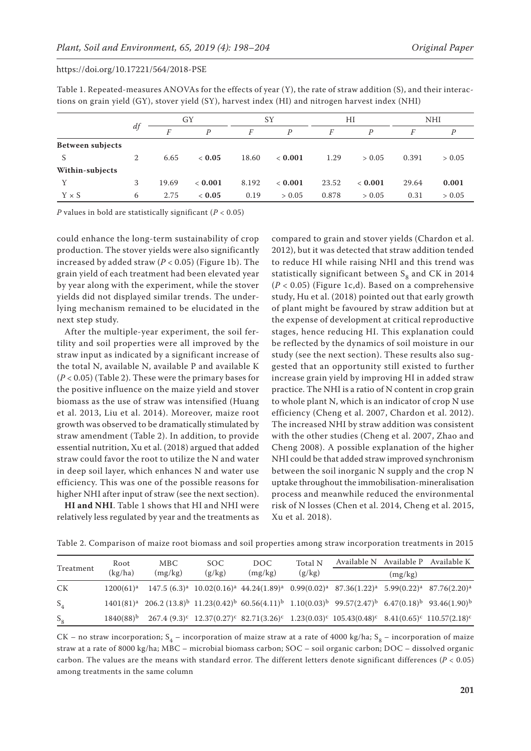| Table 1. Repeated-measures ANOVAs for the effects of year (Y), the rate of straw addition (S), and their interac- |
|-------------------------------------------------------------------------------------------------------------------|
| tions on grain yield (GY), stover yield (SY), harvest index (HI) and nitrogen harvest index (NHI)                 |

|                         | df | GY    |                | SY    |                | HI    |                | <b>NHI</b> |        |
|-------------------------|----|-------|----------------|-------|----------------|-------|----------------|------------|--------|
|                         |    | F     | $\overline{P}$ | F     | $\overline{P}$ | F     | $\overline{P}$ | F          | D      |
| <b>Between subjects</b> |    |       |                |       |                |       |                |            |        |
| S                       | 2  | 6.65  | ~< 0.05        | 18.60 | < 0.001        | 1.29  | > 0.05         | 0.391      | > 0.05 |
| Within-subjects         |    |       |                |       |                |       |                |            |        |
| Y                       | 3  | 19.69 | < 0.001        | 8.192 | < 0.001        | 23.52 | < 0.001        | 29.64      | 0.001  |
| $Y \times S$            | 6  | 2.75  | ~< 0.05        | 0.19  | > 0.05         | 0.878 | > 0.05         | 0.31       | > 0.05 |

*P* values in bold are statistically significant (*P* < 0.05)

could enhance the long-term sustainability of crop production. The stover yields were also significantly increased by added straw  $(P < 0.05)$  (Figure 1b). The grain yield of each treatment had been elevated year by year along with the experiment, while the stover yields did not displayed similar trends. The underlying mechanism remained to be elucidated in the next step study.

After the multiple-year experiment, the soil fertility and soil properties were all improved by the straw input as indicated by a significant increase of the total N, available N, available P and available K (*P* < 0.05) (Table 2). These were the primary bases for the positive influence on the maize yield and stover biomass as the use of straw was intensified (Huang et al. 2013, Liu et al. 2014). Moreover, maize root growth was observed to be dramatically stimulated by straw amendment (Table 2). In addition, to provide essential nutrition, Xu et al. (2018) argued that added straw could favor the root to utilize the N and water in deep soil layer, which enhances N and water use efficiency. This was one of the possible reasons for higher NHI after input of straw (see the next section).

**HI and NHI**. Table 1 shows that HI and NHI were relatively less regulated by year and the treatments as

compared to grain and stover yields (Chardon et al. 2012), but it was detected that straw addition tended to reduce HI while raising NHI and this trend was statistically significant between  $S_0$  and CK in 2014  $(P < 0.05)$  (Figure 1c,d). Based on a comprehensive study, Hu et al. (2018) pointed out that early growth of plant might be favoured by straw addition but at the expense of development at critical reproductive stages, hence reducing HI. This explanation could be reflected by the dynamics of soil moisture in our study (see the next section). These results also suggested that an opportunity still existed to further increase grain yield by improving HI in added straw practice. The NHI is a ratio of N content in crop grain to whole plant N, which is an indicator of crop N use efficiency (Cheng et al. 2007, Chardon et al. 2012). The increased NHI by straw addition was consistent with the other studies (Cheng et al. 2007, Zhao and Cheng 2008). A possible explanation of the higher NHI could be that added straw improved synchronism between the soil inorganic N supply and the crop N uptake throughout the immobilisation-mineralisation process and meanwhile reduced the environmental risk of N losses (Chen et al. 2014, Cheng et al. 2015, Xu et al. 2018).

| Treatment | Root           | MBC.                                                                                                                       | SOC.   | DOC.    | Total N |                                                                                                                |         | Available N Available P Available K |
|-----------|----------------|----------------------------------------------------------------------------------------------------------------------------|--------|---------|---------|----------------------------------------------------------------------------------------------------------------|---------|-------------------------------------|
|           | (kg/ha)        | (mg/kg)                                                                                                                    | (g/kg) | (mg/kg) | (g/kg)  |                                                                                                                | (mg/kg) |                                     |
| СK        | $1200(61)^a$   |                                                                                                                            |        |         |         | $147.5 (6.3)^a$ $10.02(0.16)^a$ $44.24(1.89)^a$ $0.99(0.02)^a$ $87.36(1.22)^a$ $5.99(0.22)^a$ $87.76(2.20)^a$  |         |                                     |
| $S_4$     |                | $1401(81)^a$ $206.2(13.8)^b$ $11.23(0.42)^b$ $60.56(4.11)^b$ $1.10(0.03)^b$ $99.57(2.47)^b$ $6.47(0.18)^b$ $93.46(1.90)^b$ |        |         |         |                                                                                                                |         |                                     |
| $S_8$     | $1840(88)^{b}$ |                                                                                                                            |        |         |         | $267.4(9.3)^c$ $12.37(0.27)^c$ $82.71(3.26)^c$ $1.23(0.03)^c$ $105.43(0.48)^c$ $8.41(0.65)^c$ $110.57(2.18)^c$ |         |                                     |

Table 2. Comparison of maize root biomass and soil properties among straw incorporation treatments in 2015

CK – no straw incorporation;  $S_4$  – incorporation of maize straw at a rate of 4000 kg/ha;  $S_8$  – incorporation of maize straw at a rate of 8000 kg/ha; MBC – microbial biomass carbon; SOC – soil organic carbon; DOC – dissolved organic carbon. The values are the means with standard error. The different letters denote significant differences (*P* < 0.05) among treatments in the same column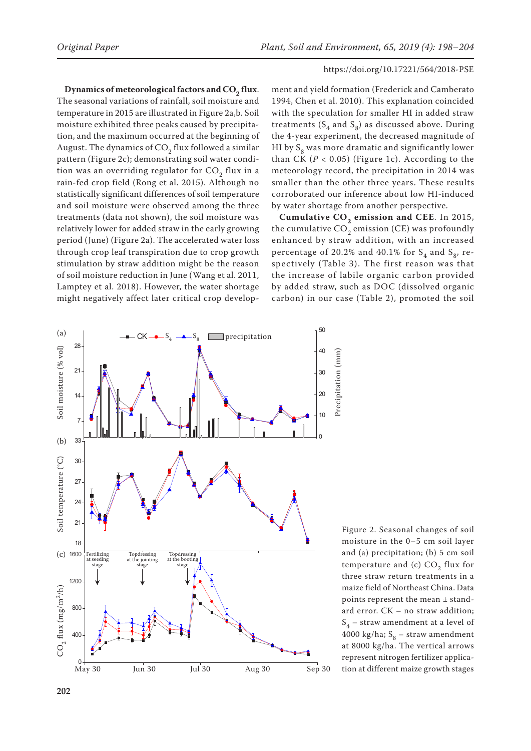Dynamics of meteorological factors and CO<sub>2</sub> flux. The seasonal variations of rainfall, soil moisture and temperature in 2015 are illustrated in Figure 2a,b. Soil moisture exhibited three peaks caused by precipitation, and the maximum occurred at the beginning of August. The dynamics of  $CO<sub>2</sub>$  flux followed a similar pattern (Figure 2c); demonstrating soil water condition was an overriding regulator for  $CO<sub>2</sub>$  flux in a rain-fed crop field (Rong et al. 2015). Although no statistically significant differences of soil temperature and soil moisture were observed among the three treatments (data not shown), the soil moisture was relatively lower for added straw in the early growing period (June) (Figure 2a). The accelerated water loss through crop leaf transpiration due to crop growth stimulation by straw addition might be the reason of soil moisture reduction in June (Wang et al. 2011, Lamptey et al. 2018). However, the water shortage might negatively affect later critical crop develop-

ment and yield formation (Frederick and Camberato 1994, Chen et al. 2010). This explanation coincided with the speculation for smaller HI in added straw treatments  $(S_4 \text{ and } S_8)$  as discussed above. During the 4-year experiment, the decreased magnitude of HI by  $S_8$  was more dramatic and significantly lower than CK  $(P < 0.05)$  (Figure 1c). According to the meteorology record, the precipitation in 2014 was smaller than the other three years. These results corroborated our inference about low HI-induced by water shortage from another perspective.

**Cumulative CO<sub>2</sub> emission and CEE**. In 2015, the cumulative  $CO<sub>2</sub>$  emission (CE) was profoundly enhanced by straw addition, with an increased percentage of 20.2% and 40.1% for  $S_4$  and  $S_8$ , respectively (Table 3). The first reason was that the increase of labile organic carbon provided by added straw, such as DOC (dissolved organic carbon) in our case (Table 2), promoted the soil



Figure 2. Seasonal changes of soil moisture in the 0–5 cm soil layer and (a) precipitation; (b) 5 cm soil temperature and (c)  $CO<sub>2</sub>$  flux for three straw return treatments in a maize field of Northeast China. Data points represent the mean ± standard error. CK – no straw addition;  $S_4$  – straw amendment at a level of 4000 kg/ha;  $S_8$  – straw amendment at 8000 kg/ha. The vertical arrows represent nitrogen fertilizer applica-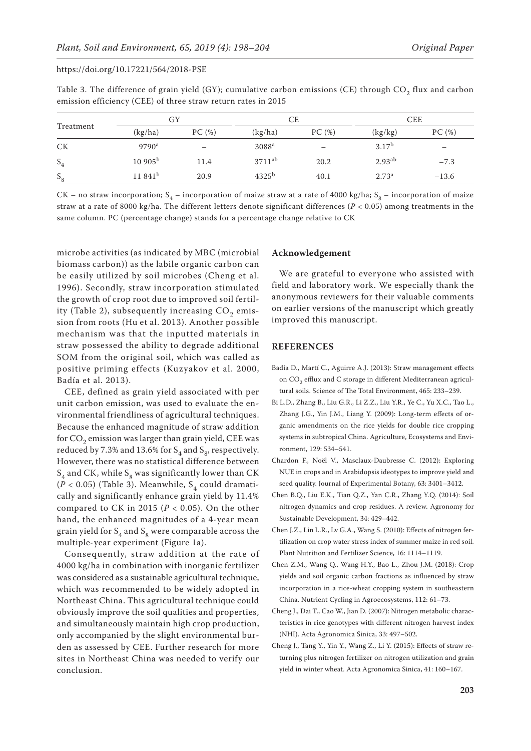| Table 3. The difference of grain yield (GY); cumulative carbon emissions (CE) through $CO2$ flux and carbon |  |
|-------------------------------------------------------------------------------------------------------------|--|
| emission efficiency (CEE) of three straw return rates in 2015                                               |  |

| Treatment | GY                  |       | CE                |       | <b>CEE</b>         |                          |
|-----------|---------------------|-------|-------------------|-------|--------------------|--------------------------|
|           | (kg/ha)             | PC(%) | (kg/ha)           | PC(%) | (kg/kg)            | PC(%)                    |
| <b>CK</b> | $9790^a$            |       | 3088 <sup>a</sup> |       | 3.17 <sup>b</sup>  | $\overline{\phantom{m}}$ |
| $S_4$     | 10905 <sup>b</sup>  | 11.4  | $3711^{ab}$       | 20.2  | 2.93 <sup>ab</sup> | $-7.3$                   |
| $S_8$     | 11.841 <sup>b</sup> | 20.9  | $4325^{b}$        | 40.1  | 2.73 <sup>a</sup>  | $-13.6$                  |

CK – no straw incorporation;  $S_4$  – incorporation of maize straw at a rate of 4000 kg/ha;  $S_8$  – incorporation of maize straw at a rate of 8000 kg/ha. The different letters denote significant differences (*P* < 0.05) among treatments in the same column. PC (percentage change) stands for a percentage change relative to CK

microbe activities (as indicated by MBC (microbial biomass carbon)) as the labile organic carbon can be easily utilized by soil microbes (Cheng et al. 1996). Secondly, straw incorporation stimulated the growth of crop root due to improved soil fertility (Table 2), subsequently increasing  $CO<sub>2</sub>$  emission from roots (Hu et al. 2013). Another possible mechanism was that the inputted materials in straw possessed the ability to degrade additional SOM from the original soil, which was called as positive priming effects (Kuzyakov et al. 2000, Badía et al. 2013).

CEE, defined as grain yield associated with per unit carbon emission, was used to evaluate the environmental friendliness of agricultural techniques. Because the enhanced magnitude of straw addition for  $CO<sub>2</sub>$  emission was larger than grain yield, CEE was reduced by 7.3% and 13.6% for  $S_4$  and  $S_8$ , respectively. However, there was no statistical difference between  $S_4$  and CK, while  $S_8$  was significantly lower than CK  $(\overline{P}$  < 0.05) (Table 3). Meanwhile, S<sub>4</sub> could dramatically and significantly enhance grain yield by 11.4% compared to CK in 2015 ( $P < 0.05$ ). On the other hand, the enhanced magnitudes of a 4-year mean grain yield for  $S_4$  and  $S_8$  were comparable across the multiple-year experiment (Figure 1a).

Consequently, straw addition at the rate of 4000 kg/ha in combination with inorganic fertilizer was considered as a sustainable agricultural technique, which was recommended to be widely adopted in Northeast China. This agricultural technique could obviously improve the soil qualities and properties, and simultaneously maintain high crop production, only accompanied by the slight environmental burden as assessed by CEE. Further research for more sites in Northeast China was needed to verify our conclusion.

## **Acknowledgement**

We are grateful to everyone who assisted with field and laboratory work. We especially thank the anonymous reviewers for their valuable comments on earlier versions of the manuscript which greatly improved this manuscript.

## **REFERENCES**

- Badía D., Martí C., Aguirre A.J. (2013): Straw management effects on CO<sub>2</sub> efflux and C storage in different Mediterranean agricultural soils. Science of The Total Environment, 465: 233–239.
- Bi L.D., Zhang B., Liu G.R., Li Z.Z., Liu Y.R., Ye C., Yu X.C., Tao L., Zhang J.G., Yin J.M., Liang Y. (2009): Long-term effects of organic amendments on the rice yields for double rice cropping systems in subtropical China. Agriculture, Ecosystems and Environment, 129: 534–541.
- Chardon F., Noël V., Masclaux-Daubresse C. (2012): Exploring NUE in crops and in Arabidopsis ideotypes to improve yield and seed quality. Journal of Experimental Botany, 63: 3401–3412.
- Chen B.Q., Liu E.K., Tian Q.Z., Yan C.R., Zhang Y.Q. (2014): Soil nitrogen dynamics and crop residues. A review. Agronomy for Sustainable Development, 34: 429–442.
- Chen J.Z., Lin L.R., Lv G.A., Wang S. (2010): Effects of nitrogen fertilization on crop water stress index of summer maize in red soil. Plant Nutrition and Fertilizer Science, 16: 1114–1119.
- Chen Z.M., Wang Q., Wang H.Y., Bao L., Zhou J.M. (2018): Crop yields and soil organic carbon fractions as influenced by straw incorporation in a rice-wheat cropping system in southeastern China. Nutrient Cycling in Agroecosystems, 112: 61–73.
- Cheng J., Dai T., Cao W., Jian D. (2007): Nitrogen metabolic characteristics in rice genotypes with different nitrogen harvest index (NHI). Acta Agronomica Sinica, 33: 497–502.
- Cheng J., Tang Y., Yin Y., Wang Z., Li Y. (2015): Effects of straw returning plus nitrogen fertilizer on nitrogen utilization and grain yield in winter wheat. Acta Agronomica Sinica, 41: 160–167.